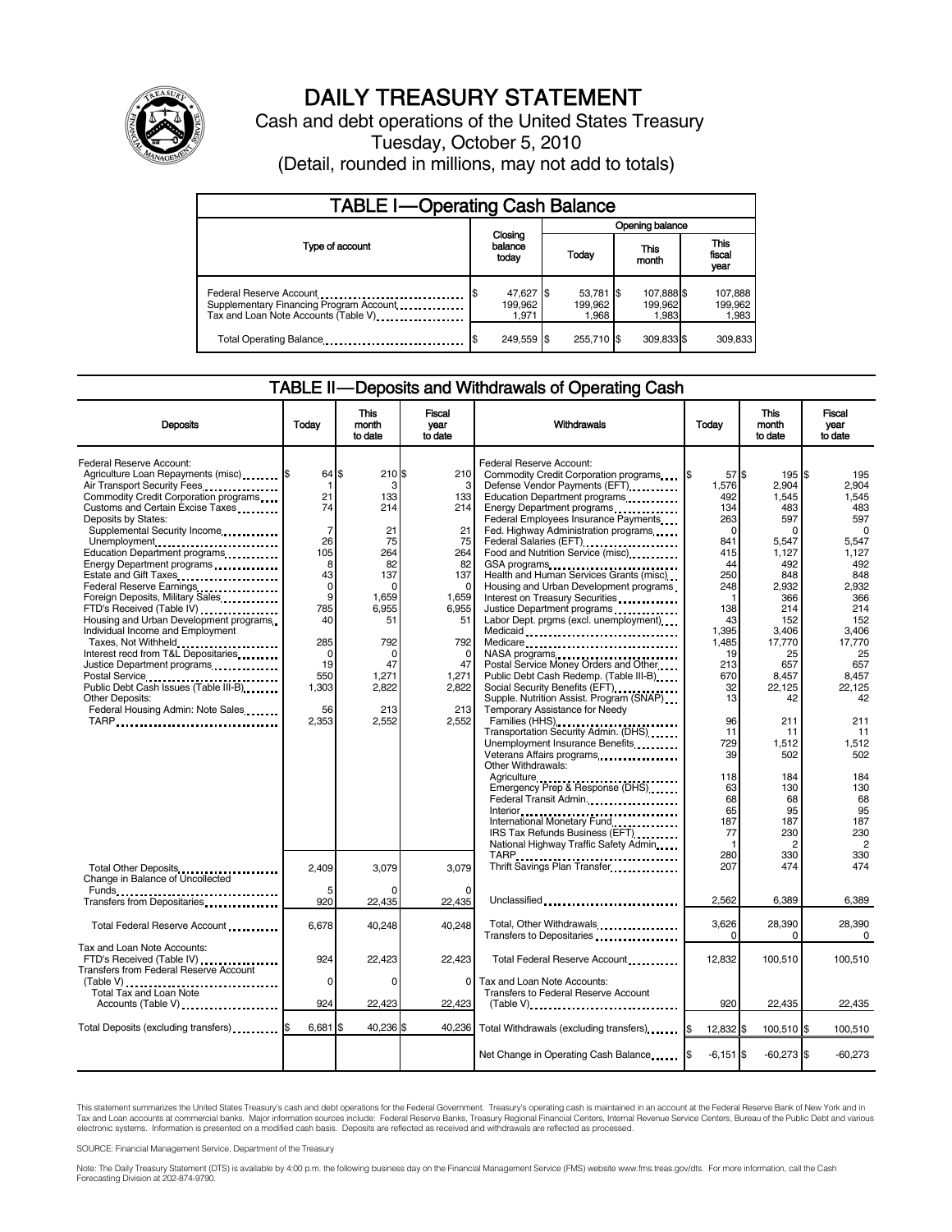

# DAILY TREASURY STATEMENT

Cash and debt operations of the United States Treasury Tuesday, October 5, 2010 (Detail, rounded in millions, may not add to totals)

| <b>TABLE I-Operating Cash Balance</b>                                                                       |                               |                               |                                |                             |  |  |  |
|-------------------------------------------------------------------------------------------------------------|-------------------------------|-------------------------------|--------------------------------|-----------------------------|--|--|--|
|                                                                                                             |                               | Opening balance               |                                |                             |  |  |  |
| Type of account                                                                                             | Closing<br>balance<br>today   | Today                         | This<br>month                  | This<br>fiscal<br>year      |  |  |  |
| Federal Reserve Account<br>Supplementary Financing Program Account<br>Tax and Loan Note Accounts (Table V). | 47,627 \$<br>199.962<br>1.971 | 53,781 \$<br>199,962<br>1.968 | 107,888 \$<br>199,962<br>1.983 | 107,888<br>199,962<br>1,983 |  |  |  |
| Total Operating Balance                                                                                     | 249,559 \$                    | 255.710 \$                    | 309,833 \$                     | 309.833                     |  |  |  |

#### TABLE II-Deposits and Withdrawals of Operating Cash

| <b>Deposits</b>                                                                                                                            | Today                         | <b>This</b><br>month<br>to date | <b>Fiscal</b><br>year<br>to date | <b>Withdrawals</b>                                                                                                                                     | Today                        | <b>This</b><br>month<br>to date | <b>Fiscal</b><br>year<br>to date |
|--------------------------------------------------------------------------------------------------------------------------------------------|-------------------------------|---------------------------------|----------------------------------|--------------------------------------------------------------------------------------------------------------------------------------------------------|------------------------------|---------------------------------|----------------------------------|
| Federal Reserve Account:<br>Agriculture Loan Repayments (misc) \$<br>Air Transport Security Fees.<br>Commodity Credit Corporation programs | 64 \$<br>1<br>21              | 210S<br>3<br>133                | 210<br>3<br>133                  | Federal Reserve Account:<br>Commodity Credit Corporation programs<br>Defense Vendor Payments (EFT)<br>Education Department programs                    | 57S<br>1,576<br>492          | 195 \$<br>2.904<br>1,545        | 195<br>2.904<br>1.545            |
| Customs and Certain Excise Taxes<br>Deposits by States:<br>Supplemental Security Income                                                    | 74<br>$\overline{7}$          | 214<br>21                       | 214<br>21                        | Energy Department programs<br>Federal Employees Insurance Payments<br>Fed. Highway Administration programs                                             | 134<br>263<br>$\Omega$       | 483<br>597<br>$\Omega$          | 483<br>597<br>$\Omega$           |
| Unemployment<br>Education Department programs<br>Energy Department programs                                                                | 26<br>105<br>8<br>43          | 75<br>264<br>82<br>137          | 75<br>264<br>82<br>137           | Food and Nutrition Service (misc)<br>GSA programs<br>Health and Human Services Grants (misc)                                                           | 841<br>415<br>44<br>250      | 5,547<br>1.127<br>492<br>848    | 5.547<br>1,127<br>492<br>848     |
| Federal Reserve Earnings<br>Foreign Deposits, Military Sales<br>FTD's Received (Table IV)<br>Housing and Urban Development programs        | $\mathbf 0$<br>9<br>785<br>40 | C<br>1.659<br>6.955<br>51       | $\Omega$<br>1.659<br>6,955<br>51 | Housing and Urban Development programs<br>Interest on Treasury Securities<br>Justice Department programs<br>Labor Dept. prgms (excl. unemployment)     | 248<br>138<br>43             | 2,932<br>366<br>214<br>152      | 2,932<br>366<br>214<br>152       |
| Individual Income and Employment<br>Taxes, Not Withheld<br>Interest recd from T&L Depositaries<br>Justice Department programs              | 285<br>0<br>19                | 792<br>$\Omega$<br>47           | 792<br>$\Omega$<br>47            | Medicaid<br>Medicare<br>NASA programs<br>Postal Service Money Orders and Other                                                                         | 1,395<br>1.485<br>19<br>213  | 3,406<br>17,770<br>25<br>657    | 3,406<br>17.770<br>25<br>657     |
| Postal Service<br>Public Debt Cash Issues (Table III-B)<br><b>Other Deposits:</b><br>Federal Housing Admin: Note Sales                     | 550<br>1,303<br>56            | 1,271<br>2,822<br>213           | 1,271<br>2,822<br>213            | Public Debt Cash Redemp. (Table III-B)<br>Social Security Benefits (EFT)<br>Supple. Nutrition Assist. Program (SNAP)<br>Temporary Assistance for Needy | 670<br>32<br>13              | 8,457<br>22,125<br>42           | 8,457<br>22,125<br>42            |
| TARP                                                                                                                                       | 2,353                         | 2,552                           | 2.552                            | Families (HHS)<br>Transportation Security Admin. (DHS)<br>Unemployment Insurance Benefits<br>Veterans Affairs programs<br>Other Withdrawals:           | 96<br>11<br>729<br>39        | 211<br>11<br>1,512<br>502       | 211<br>11<br>1,512<br>502        |
|                                                                                                                                            |                               |                                 |                                  | Emergency Prep & Response (DHS)<br>Federal Transit Admin.<br>Interior<br>International Monetary Fund<br>Thermational Monetary Fund                     | 118<br>63<br>68<br>65<br>187 | 184<br>130<br>68<br>95<br>187   | 184<br>130<br>68<br>95<br>187    |
|                                                                                                                                            |                               |                                 |                                  | IRS Tax Refunds Business (EFT)<br>National Highway Traffic Safety Admin                                                                                | 77<br>$\mathbf 1$<br>280     | 230<br>$\overline{c}$<br>330    | 230<br>$\overline{2}$<br>330     |
| Total Other Deposits<br>Change in Balance of Uncollected                                                                                   | 2,409                         | 3,079                           | 3,079                            | Thrift Savings Plan Transfer                                                                                                                           | 207                          | 474                             | 474                              |
| Funds<br>Transfers from Depositaries<br>                                                                                                   | 920                           | 22,435                          | 22,435                           | Unclassified                                                                                                                                           | 2,562                        | 6,389                           | 6,389                            |
| Total Federal Reserve Account<br>Tax and Loan Note Accounts:                                                                               | 6,678                         | 40.248                          | 40.248                           | Total, Other Withdrawals<br>Transfers to Depositaries                                                                                                  | 3,626<br>0                   | 28,390<br>$\Omega$              | 28,390<br>$\Omega$               |
| FTD's Received (Table IV)<br>Transfers from Federal Reserve Account                                                                        | 924<br>$\Omega$               | 22,423<br>$\Omega$              | 22,423<br>$\Omega$               | Total Federal Reserve Account<br>Tax and Loan Note Accounts:                                                                                           | 12,832                       | 100,510                         | 100,510                          |
| Total Tax and Loan Note<br>Accounts (Table V)                                                                                              | 924                           | 22,423                          | 22,423                           | Transfers to Federal Reserve Account<br>$(Table V)$                                                                                                    | 920                          | 22,435                          | 22,435                           |
| Total Deposits (excluding transfers) [65]                                                                                                  | $6,681$ \$                    | 40,236 \$                       | 40.236                           | Total Withdrawals (excluding transfers) [\$                                                                                                            | 12,832 \$                    | 100,510 \$                      | 100,510                          |
|                                                                                                                                            |                               |                                 |                                  |                                                                                                                                                        | $-6,151$ \$                  | $-60,273$ \$                    | $-60,273$                        |

This statement summarizes the United States Treasury's cash and debt operations for the Federal Government. Treasury's operating cash is maintained in an account at the Federal Reserve Bank of New York and in<br>Tax and Loan

SOURCE: Financial Management Service, Department of the Treasury

Note: The Daily Treasury Statement (DTS) is available by 4:00 p.m. the following business day on the Financial Management Service (FMS) website www.fms.treas.gov/dts. For more information, call the Cash<br>Forecasting Divisio